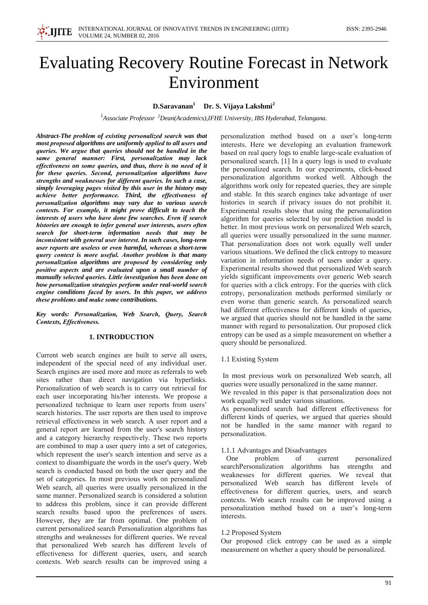

# **Evaluating Recovery Routine Forecast in Network** Environment

# D.Saravanan<sup>1</sup> Dr. S. Vijaya Lakshmi<sup>2</sup>

<sup>1</sup>Associate Professor  $^{2}$ Dean(Academics), IFHE University, IBS Hyderabad, Telangana.

Abstract-The problem of existing personalized search was that most proposed algorithms are uniformly applied to all users and queries. We argue that queries should not be handled in the same general manner: First, personalization may lack effectiveness on some queries, and thus, there is no need of it for these queries. Second, personalization algorithms have strengths and weaknesses for different queries. In such a case, simply leveraging pages visited by this user in the history may achieve better performance. Third, the effectiveness of personalization algorithms may vary due to various search contexts. For example, it might prove difficult to teach the interests of users who have done few searches. Even if search histories are enough to infer general user interests, users often search for short-term information needs that may be inconsistent with general user interest. In such cases, long-term user reports are useless or even harmful, whereas a short-term query context is more useful. Another problem is that many personalization algorithms are proposed by considering only positive aspects and are evaluated upon a small number of manually selected queries. Little investigation has been done on how personalization strategies perform under real-world search engine conditions faced by users. In this paper, we address these problems and make some contributions.

Key words: Personalization, Web Search, Query, Search Contexts, Effectiveness.

### **1. INTRODUCTION**

Current web search engines are built to serve all users, independent of the special need of any individual user. Search engines are used more and more as referrals to web sites rather than direct navigation via hyperlinks. Personalization of web search is to carry out retrieval for each user incorporating his/her interests. We propose a personalized technique to learn user reports from users' search histories. The user reports are then used to improve retrieval effectiveness in web search. A user report and a general report are learned from the user's search history and a category hierarchy respectively. These two reports are combined to map a user query into a set of categories, which represent the user's search intention and serve as a context to disambiguate the words in the user's query. Web search is conducted based on both the user query and the set of categories. In most previous work on personalized Web search, all queries were usually personalized in the same manner. Personalized search is considered a solution to address this problem, since it can provide different search results based upon the preferences of users. However, they are far from optimal. One problem of current personalized search Personalization algorithms has strengths and weaknesses for different queries. We reveal that personalized Web search has different levels of effectiveness for different queries, users, and search contexts. Web search results can be improved using a

personalization method based on a user's long-term interests. Here we developing an evaluation framework based on real query logs to enable large-scale evaluation of personalized search. [1] In a query logs is used to evaluate the personalized search. In our experiments, click-based personalization algorithms worked well. Although the algorithms work only for repeated queries, they are simple and stable. In this search engines take advantage of user histories in search if privacy issues do not prohibit it. Experimental results show that using the personalization algorithm for queries selected by our prediction model is better. In most previous work on personalized Web search, all queries were usually personalized in the same manner. That personalization does not work equally well under various situations. We defined the click entropy to measure variation in information needs of users under a query. Experimental results showed that personalized Web search yields significant improvements over generic Web search for queries with a click entropy. For the queries with click entropy, personalization methods performed similarly or even worse than generic search. As personalized search had different effectiveness for different kinds of queries, we argued that queries should not be handled in the same manner with regard to personalization. Our proposed click entropy can be used as a simple measurement on whether a query should be personalized.

#### 1.1 Existing System

In most previous work on personalized Web search, all queries were usually personalized in the same manner.

We revealed in this paper is that personalization does not work equally well under various situations.

As personalized search had different effectiveness for different kinds of queries, we argued that queries should not be handled in the same manner with regard to personalization.

#### 1.1.1 Advantages and Disadvantages

One problem of current personalized searchPersonalization algorithms has strengths and weaknesses for different queries. We reveal that personalized Web search has different levels of effectiveness for different queries, users, and search contexts. Web search results can be improved using a personalization method based on a user's long-term interests.

#### 1.2 Proposed System

Our proposed click entropy can be used as a simple measurement on whether a query should be personalized.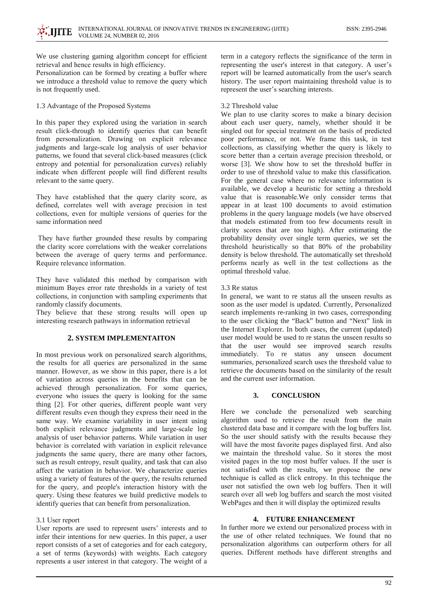We use clustering gaming algorithm concept for efficient retrieval and hence results in high efficiency.

Personalization can be formed by creating a buffer where we introduce a threshold value to remove the query which is not frequently used.

1.3 Advantage of the Proposed Systems

In this paper they explored using the variation in search result click-through to identify queries that can benefit from personalization. Drawing on explicit relevance judgments and large-scale log analysis of user behavior patterns, we found that several click-based measures (click entropy and potential for personalization curves) reliably indicate when different people will find different results relevant to the same query.

They have established that the query clarity score, as defined, correlates well with average precision in test collections, even for multiple versions of queries for the same information need

They have further grounded these results by comparing the clarity score correlations with the weaker correlations between the average of query terms and performance. Require relevance information.

They have validated this method by comparison with minimum Bayes error rate thresholds in a variety of test collections, in conjunction with sampling experiments that randomly classify documents.

They believe that these strong results will open up interesting research pathways in information retrieval

## **2. SYSTEM IMPLEMENTAITON**

In most previous work on personalized search algorithms, the results for all queries are personalized in the same manner. However, as we show in this paper, there is a lot of variation across queries in the benefits that can be achieved through personalization. For some queries, everyone who issues the query is looking for the same thing [2]. For other queries, different people want very different results even though they express their need in the same way. We examine variability in user intent using both explicit relevance judgments and large-scale log analysis of user behavior patterns. While variation in user behavior is correlated with variation in explicit relevance judgments the same query, there are many other factors, such as result entropy, result quality, and task that can also affect the variation in behavior. We characterize queries using a variety of features of the query, the results returned for the query, and people's interaction history with the query. Using these features we build predictive models to identify queries that can benefit from personalization.

#### 3.1 User report

User reports are used to represent users' interests and to infer their intentions for new queries. In this paper, a user report consists of a set of categories and for each category, a set of terms (keywords) with weights. Each category represents a user interest in that category. The weight of a

term in a category reflects the significance of the term in representing the user's interest in that category. A user's report will be learned automatically from the user's search history. The user report maintaining threshold value is to represent the user's searching interests.

#### 3.2 Threshold value

We plan to use clarity scores to make a binary decision about each user query, namely, whether should it be singled out for special treatment on the basis of predicted poor performance, or not. We frame this task, in test collections, as classifying whether the query is likely to score better than a certain average precision threshold, or worse [3]. We show how to set the threshold buffer in order to use of threshold value to make this classification. For the general case where no relevance information is available, we develop a heuristic for setting a threshold value that is reasonable. We only consider terms that appear in at least 100 documents to avoid estimation problems in the query language models (we have observed that models estimated from too few documents result in clarity scores that are too high). After estimating the probability density over single term queries, we set the threshold heuristically so that 80% of the probability density is below threshold. The automatically set threshold performs nearly as well in the test collections as the optimal threshold value.

#### 3.3 Re status

In general, we want to re status all the unseen results as soon as the user model is updated. Currently, Personalized search implements re-ranking in two cases, corresponding to the user clicking the "Back" button and "Next" link in the Internet Explorer. In both cases, the current (updated) user model would be used to re status the unseen results so that the user would see improved search results immediately. To re status any unseen document summaries, personalized search uses the threshold value to retrieve the documents based on the similarity of the result and the current user information.

#### $3.$ **CONCLUSION**

Here we conclude the personalized web searching algorithm used to retrieve the result from the main clustered data base and it compare with the log buffers list. So the user should satisfy with the results because they will have the most favorite pages displayed first. And also we maintain the threshold value. So it stores the most visited pages in the top most buffer values. If the user is not satisfied with the results, we propose the new technique is called as click entropy. In this technique the user not satisfied the own web log buffers. Then it will search over all web log buffers and search the most visited WebPages and then it will display the optimized results

#### 4. FUTURE ENHANCEMENT

In further more we extend our personalized process with in the use of other related techniques. We found that no personalization algorithms can outperform others for all queries. Different methods have different strengths and